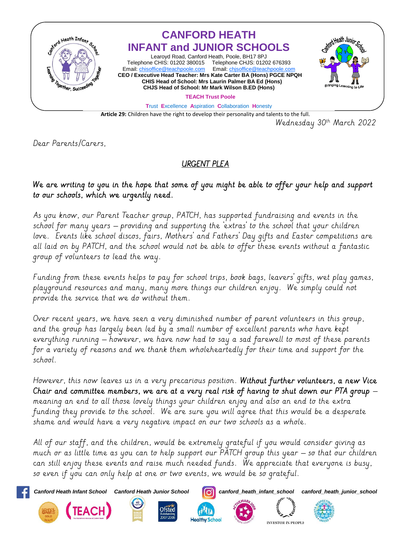

Wednesday 30<sup>th</sup> March 2022

Dear Parents/Carers,

## URGENT PLEA

## We are writing to you in the hope that some of you might be able to offer your help and support to our schools, which we urgently need.

As you know, our Parent Teacher group, PATCH, has supported fundraising and events in the school for many years – providing and supporting the 'extras' to the school that your children love. Events like school discos, fairs, Mothers' and Fathers' Day gifts and Easter competitions are all laid on by PATCH, and the school would not be able to offer these events without a fantastic group of volunteers to lead the way.

Funding from these events helps to pay for school trips, book bags, leavers' gifts, wet play games, playground resources and many, many more things our children enjoy. We simply could not provide the service that we do without them.

Over recent years, we have seen a very diminished number of parent volunteers in this group, and the group has largely been led by a small number of excellent parents who have kept everything running – however, we have now had to say a sad farewell to most of these parents for a variety of reasons and we thank them wholeheartedly for their time and support for the school.

However, this now leaves us in a very precarious position. Without further volunteers, a new Vice Chair and committee members, we are at a very real risk of having to shut down our PTA group  $$ meaning an end to all those lovely things your children enjoy and also an end to the extra funding they provide to the school. We are sure you will agree that this would be a desperate shame and would have a very negative impact on our two schools as a whole.

All of our staff, and the children, would be extremely grateful if you would consider giving as much or as little time as you can to help support our PATCH group this year – so that our children can still enjoy these events and raise much needed funds. We appreciate that everyone is busy, so even if you can only help at one or two events, we would be so grateful.

**Healthy School** 

*Canford Heath Infant School Canford Heath Junior School canford\_heath\_infant\_school canford\_heath\_junior\_school*